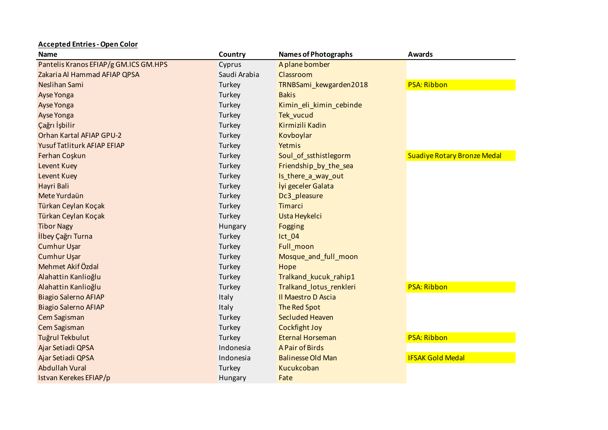| <b>Name</b>                           | Country      | <b>Names of Photographs</b> | <b>Awards</b>                      |
|---------------------------------------|--------------|-----------------------------|------------------------------------|
| Pantelis Kranos EFIAP/g GM.ICS GM.HPS | Cyprus       | A plane bomber              |                                    |
| Zakaria Al Hammad AFIAP QPSA          | Saudi Arabia | Classroom                   |                                    |
| Neslihan Sami                         | Turkey       | TRNBSami_kewgarden2018      | <b>PSA: Ribbon</b>                 |
| Ayse Yonga                            | Turkey       | <b>Bakis</b>                |                                    |
| Ayse Yonga                            | Turkey       | Kimin_eli_kimin_cebinde     |                                    |
| Ayse Yonga                            | Turkey       | Tek_vucud                   |                                    |
| Çağrı İşbilir                         | Turkey       | Kirmizili Kadin             |                                    |
| Orhan Kartal AFIAP GPU-2              | Turkey       | Kovboylar                   |                                    |
| Yusuf Tatliturk AFIAP EFIAP           | Turkey       | Yetmis                      |                                    |
| Ferhan Coşkun                         | Turkey       | Soul_of_ssthistlegorm       | <b>Suadiye Rotary Bronze Medal</b> |
| Levent Kuey                           | Turkey       | Friendship_by_the_sea       |                                    |
| Levent Kuey                           | Turkey       | Is_there_a_way_out          |                                    |
| Hayri Bali                            | Turkey       | lyi geceler Galata          |                                    |
| Mete Yurdaün                          | Turkey       | Dc3_pleasure                |                                    |
| Türkan Ceylan Koçak                   | Turkey       | <b>Timarci</b>              |                                    |
| Türkan Ceylan Koçak                   | Turkey       | Usta Heykelci               |                                    |
| <b>Tibor Nagy</b>                     | Hungary      | Fogging                     |                                    |
| İlbey Çağrı Turna                     | Turkey       | $lct_0$ 04                  |                                    |
| <b>Cumhur Uşar</b>                    | Turkey       | Full_moon                   |                                    |
| <b>Cumhur Uşar</b>                    | Turkey       | Mosque and full moon        |                                    |
| Mehmet Akif Özdal                     | Turkey       | Hope                        |                                    |
| Alahattin Kanlioğlu                   | Turkey       | Tralkand_kucuk_rahip1       |                                    |
| Alahattin Kanlioğlu                   | Turkey       | Tralkand lotus renkleri     | <b>PSA: Ribbon</b>                 |
| <b>Biagio Salerno AFIAP</b>           | Italy        | Il Maestro D Ascia          |                                    |
| <b>Biagio Salerno AFIAP</b>           | Italy        | The Red Spot                |                                    |
| Cem Sagisman                          | Turkey       | <b>Secluded Heaven</b>      |                                    |
| Cem Sagisman                          | Turkey       | <b>Cockfight Joy</b>        |                                    |
| Tuğrul Tekbulut                       | Turkey       | <b>Eternal Horseman</b>     | <b>PSA: Ribbon</b>                 |
| Ajar Setiadi QPSA                     | Indonesia    | A Pair of Birds             |                                    |
| Ajar Setiadi QPSA                     | Indonesia    | <b>Balinesse Old Man</b>    | <b>IFSAK Gold Medal</b>            |
| <b>Abdullah Vural</b>                 | Turkey       | Kucukcoban                  |                                    |

**Istvan Kerekes EFIAP/p Hungary Fate Fate Hungary Fate** 

**Accepted Entries - Open Color**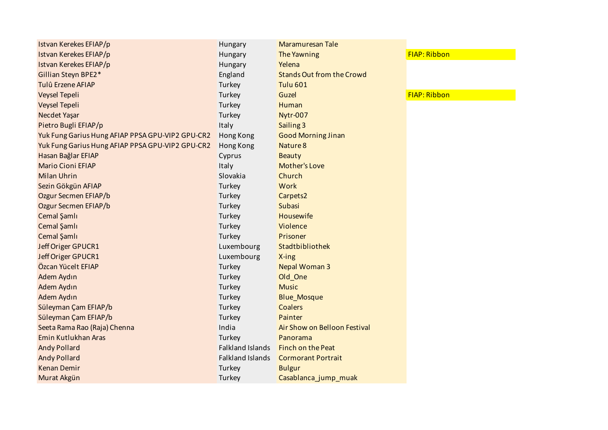| Istvan Kerekes EFIAP/p                           | Hungary                 | <b>Maramuresan Tale</b>          |                     |
|--------------------------------------------------|-------------------------|----------------------------------|---------------------|
| Istvan Kerekes EFIAP/p                           | Hungary                 | The Yawning                      | FIAP: Ribbon        |
| Istvan Kerekes EFIAP/p                           | Hungary                 | Yelena                           |                     |
| Gillian Steyn BPE2*                              | England                 | <b>Stands Out from the Crowd</b> |                     |
| Tulû Erzene AFIAP                                | Turkey                  | <b>Tulu 601</b>                  |                     |
| <b>Veysel Tepeli</b>                             | Turkey                  | Guzel                            | <b>FIAP: Ribbon</b> |
| Veysel Tepeli                                    | Turkey                  | Human                            |                     |
| Necdet Yaşar                                     | Turkey                  | Nytr-007                         |                     |
| Pietro Bugli EFIAP/p                             | Italy                   | Sailing 3                        |                     |
| Yuk Fung Garius Hung AFIAP PPSA GPU-VIP2 GPU-CR2 | Hong Kong               | <b>Good Morning Jinan</b>        |                     |
| Yuk Fung Garius Hung AFIAP PPSA GPU-VIP2 GPU-CR2 | Hong Kong               | Nature 8                         |                     |
| Hasan Bağlar EFIAP                               | Cyprus                  | <b>Beauty</b>                    |                     |
| <b>Mario Cioni EFIAP</b>                         | Italy                   | <b>Mother's Love</b>             |                     |
| <b>Milan Uhrin</b>                               | Slovakia                | Church                           |                     |
| Sezin Gökgün AFIAP                               | Turkey                  | <b>Work</b>                      |                     |
| Ozgur Secmen EFIAP/b                             | Turkey                  | Carpets2                         |                     |
| Ozgur Secmen EFIAP/b                             | Turkey                  | Subasi                           |                     |
| Cemal Şamlı                                      | Turkey                  | <b>Housewife</b>                 |                     |
| Cemal Şamlı                                      | Turkey                  | Violence                         |                     |
| Cemal Şamlı                                      | Turkey                  | Prisoner                         |                     |
| Jeff Origer GPUCR1                               | Luxembourg              | Stadtbibliothek                  |                     |
| Jeff Origer GPUCR1                               | Luxembourg              | X-ing                            |                     |
| Özcan Yücelt EFIAP                               | Turkey                  | <b>Nepal Woman 3</b>             |                     |
| Adem Aydın                                       | Turkey                  | Old_One                          |                     |
| Adem Aydın                                       | Turkey                  | <b>Music</b>                     |                     |
| Adem Aydın                                       | Turkey                  | <b>Blue_Mosque</b>               |                     |
| Süleyman Çam EFIAP/b                             | Turkey                  | <b>Coalers</b>                   |                     |
| Süleyman Çam EFIAP/b                             | Turkey                  | Painter                          |                     |
| Seeta Rama Rao (Raja) Chenna                     | India                   | Air Show on Belloon Festival     |                     |
| Emin Kutlukhan Aras                              | Turkey                  | Panorama                         |                     |
| <b>Andy Pollard</b>                              | Falkland Islands        | <b>Finch on the Peat</b>         |                     |
| <b>Andy Pollard</b>                              | <b>Falkland Islands</b> | <b>Cormorant Portrait</b>        |                     |
| <b>Kenan Demir</b>                               | Turkey                  | <b>Bulgur</b>                    |                     |
| Murat Akgün                                      | Turkey                  | Casablanca_jump_muak             |                     |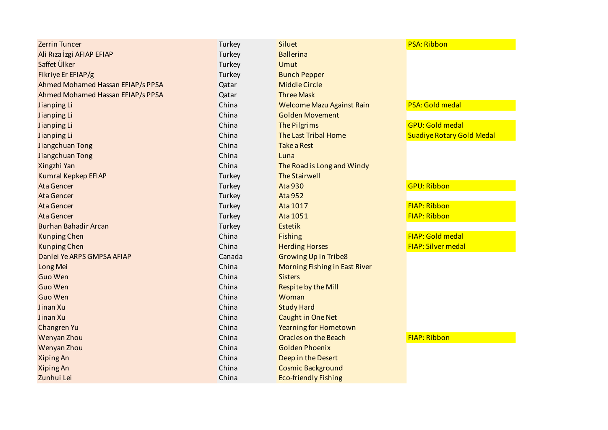| <b>Zerrin Tuncer</b>              | Turkey | <b>Siluet</b>                        | <b>PSA: Ribbon</b>               |
|-----------------------------------|--------|--------------------------------------|----------------------------------|
| Ali Rıza İzgi AFIAP EFIAP         | Turkey | <b>Ballerina</b>                     |                                  |
| Saffet Ülker                      | Turkey | Umut                                 |                                  |
| Fikriye Er EFIAP/g                | Turkey | <b>Bunch Pepper</b>                  |                                  |
| Ahmed Mohamed Hassan EFIAP/s PPSA | Qatar  | <b>Middle Circle</b>                 |                                  |
| Ahmed Mohamed Hassan EFIAP/s PPSA | Qatar  | <b>Three Mask</b>                    |                                  |
| Jianping Li                       | China  | Welcome Mazu Against Rain            | <b>PSA: Gold medal</b>           |
| Jianping Li                       | China  | <b>Golden Movement</b>               |                                  |
| Jianping Li                       | China  | <b>The Pilgrims</b>                  | <b>GPU: Gold medal</b>           |
| Jianping Li                       | China  | <b>The Last Tribal Home</b>          | <b>Suadiye Rotary Gold Medal</b> |
| Jiangchuan Tong                   | China  | <b>Take a Rest</b>                   |                                  |
| Jiangchuan Tong                   | China  | Luna                                 |                                  |
| Xingzhi Yan                       | China  | The Road is Long and Windy           |                                  |
| Kumral Kepkep EFIAP               | Turkey | <b>The Stairwell</b>                 |                                  |
| Ata Gencer                        | Turkey | <b>Ata 930</b>                       | <b>GPU: Ribbon</b>               |
| <b>Ata Gencer</b>                 | Turkey | <b>Ata 952</b>                       |                                  |
| <b>Ata Gencer</b>                 | Turkey | Ata 1017                             | <b>FIAP: Ribbon</b>              |
| <b>Ata Gencer</b>                 | Turkey | Ata 1051                             | <b>FIAP: Ribbon</b>              |
| <b>Burhan Bahadir Arcan</b>       | Turkey | <b>Estetik</b>                       |                                  |
| <b>Kunping Chen</b>               | China  | <b>Fishing</b>                       | FIAP: Gold medal                 |
| <b>Kunping Chen</b>               | China  | <b>Herding Horses</b>                | <b>FIAP: Silver medal</b>        |
| Danlei Ye ARPS GMPSA AFIAP        | Canada | <b>Growing Up in Tribe8</b>          |                                  |
| Long Mei                          | China  | <b>Morning Fishing in East River</b> |                                  |
| <b>Guo Wen</b>                    | China  | <b>Sisters</b>                       |                                  |
| <b>Guo Wen</b>                    | China  | Respite by the Mill                  |                                  |
| Guo Wen                           | China  | Woman                                |                                  |
| Jinan Xu                          | China  | <b>Study Hard</b>                    |                                  |
| Jinan Xu                          | China  | <b>Caught in One Net</b>             |                                  |
| Changren Yu                       | China  | <b>Yearning for Hometown</b>         |                                  |
| Wenyan Zhou                       | China  | <b>Oracles on the Beach</b>          | <b>FIAP: Ribbon</b>              |
| Wenyan Zhou                       | China  | <b>Golden Phoenix</b>                |                                  |
| <b>Xiping An</b>                  | China  | Deep in the Desert                   |                                  |
| <b>Xiping An</b>                  | China  | <b>Cosmic Background</b>             |                                  |
| Zunhui Lei                        | China  | <b>Eco-friendly Fishing</b>          |                                  |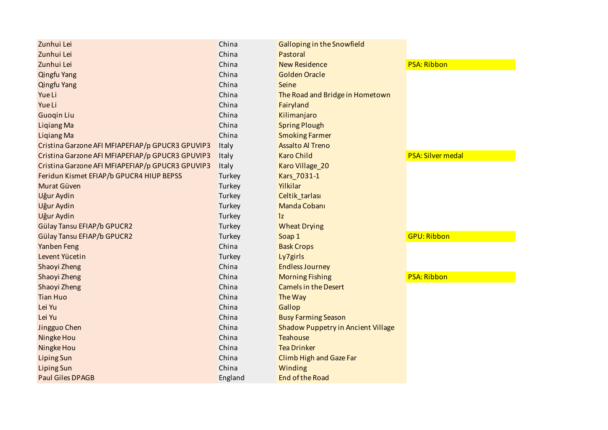| Zunhui Lei                                       | China   | Galloping in the Snowfield         |                          |
|--------------------------------------------------|---------|------------------------------------|--------------------------|
| Zunhui Lei                                       | China   | Pastoral                           |                          |
| Zunhui Lei                                       | China   | <b>New Residence</b>               | <b>PSA: Ribbon</b>       |
| <b>Qingfu Yang</b>                               | China   | <b>Golden Oracle</b>               |                          |
| <b>Qingfu Yang</b>                               | China   | Seine                              |                          |
| Yue Li                                           | China   | The Road and Bridge in Hometown    |                          |
| Yue Li                                           | China   | Fairyland                          |                          |
| <b>Guogin Liu</b>                                | China   | Kilimanjaro                        |                          |
| <b>Liqiang Ma</b>                                | China   | <b>Spring Plough</b>               |                          |
| <b>Ligiang Ma</b>                                | China   | <b>Smoking Farmer</b>              |                          |
| Cristina Garzone AFI MFIAPEFIAP/p GPUCR3 GPUVIP3 | Italy   | <b>Assalto Al Treno</b>            |                          |
| Cristina Garzone AFI MFIAPEFIAP/p GPUCR3 GPUVIP3 | Italy   | <b>Karo Child</b>                  | <b>PSA: Silver medal</b> |
| Cristina Garzone AFI MFIAPEFIAP/p GPUCR3 GPUVIP3 | Italy   | Karo Village_20                    |                          |
| Feridun Kismet EFIAP/b GPUCR4 HIUP BEPSS         | Turkey  | Kars_7031-1                        |                          |
| Murat Güven                                      | Turkey  | Yilkilar                           |                          |
| Uğur Aydin                                       | Turkey  | Celtik_tarlası                     |                          |
| Uğur Aydin                                       | Turkey  | Manda Cobani                       |                          |
| Uğur Aydin                                       | Turkey  | 1z                                 |                          |
| Gülay Tansu EFIAP/b GPUCR2                       | Turkey  | <b>Wheat Drying</b>                |                          |
| <b>Gülay Tansu EFIAP/b GPUCR2</b>                | Turkey  | Soap 1                             | <b>GPU: Ribbon</b>       |
| Yanben Feng                                      | China   | <b>Bask Crops</b>                  |                          |
| Levent Yücetin                                   | Turkey  | Ly7girls                           |                          |
| Shaoyi Zheng                                     | China   | <b>Endless Journey</b>             |                          |
| Shaoyi Zheng                                     | China   | <b>Morning Fishing</b>             | <b>PSA: Ribbon</b>       |
| Shaoyi Zheng                                     | China   | <b>Camels in the Desert</b>        |                          |
| <b>Tian Huo</b>                                  | China   | The Way                            |                          |
| Lei Yu                                           | China   | Gallop                             |                          |
| Lei Yu                                           | China   | <b>Busy Farming Season</b>         |                          |
| Jingguo Chen                                     | China   | Shadow Puppetry in Ancient Village |                          |
| Ningke Hou                                       | China   | <b>Teahouse</b>                    |                          |
| Ningke Hou                                       | China   | <b>Tea Drinker</b>                 |                          |
| <b>Liping Sun</b>                                | China   | <b>Climb High and Gaze Far</b>     |                          |
| <b>Liping Sun</b>                                | China   | Winding                            |                          |
| <b>Paul Giles DPAGB</b>                          | England | End of the Road                    |                          |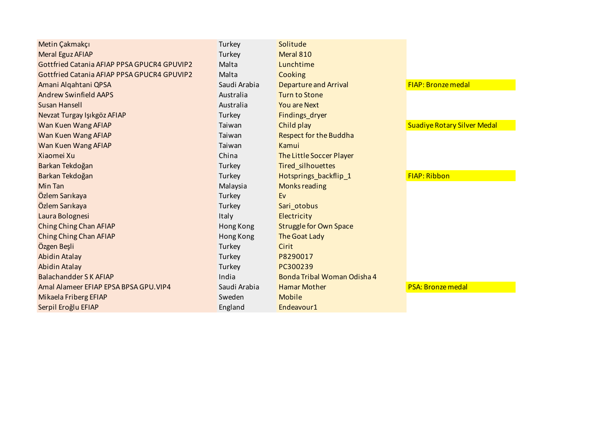| Metin Çakmakçı                                     | Turkey       | Solitude                      |                                    |
|----------------------------------------------------|--------------|-------------------------------|------------------------------------|
| Meral Eguz AFIAP                                   | Turkey       | Meral 810                     |                                    |
| Gottfried Catania AFIAP PPSA GPUCR4 GPUVIP2        | Malta        | Lunchtime                     |                                    |
| <b>Gottfried Catania AFIAP PPSA GPUCR4 GPUVIP2</b> | Malta        | Cooking                       |                                    |
| Amani Algahtani QPSA                               | Saudi Arabia | <b>Departure and Arrival</b>  | <b>FIAP: Bronze medal</b>          |
| <b>Andrew Swinfield AAPS</b>                       | Australia    | Turn to Stone                 |                                    |
| Susan Hansell                                      | Australia    | <b>You are Next</b>           |                                    |
| Nevzat Turgay Işıkgöz AFIAP                        | Turkey       | Findings_dryer                |                                    |
| Wan Kuen Wang AFIAP                                | Taiwan       | Child play                    | <b>Suadiye Rotary Silver Medal</b> |
| Wan Kuen Wang AFIAP                                | Taiwan       | <b>Respect for the Buddha</b> |                                    |
| Wan Kuen Wang AFIAP                                | Taiwan       | Kamui                         |                                    |
| Xiaomei Xu                                         | China        | The Little Soccer Player      |                                    |
| Barkan Tekdoğan                                    | Turkey       | <b>Tired silhouettes</b>      |                                    |
| Barkan Tekdoğan                                    | Turkey       | Hotsprings backflip 1         | <b>FIAP: Ribbon</b>                |
| Min Tan                                            | Malaysia     | <b>Monks reading</b>          |                                    |
| Özlem Sarıkaya                                     | Turkey       | Ev                            |                                    |
| Özlem Sarıkaya                                     | Turkey       | Sari_otobus                   |                                    |
| Laura Bolognesi                                    | Italy        | Electricity                   |                                    |
| <b>Ching Ching Chan AFIAP</b>                      | Hong Kong    | <b>Struggle for Own Space</b> |                                    |
| Ching Ching Chan AFIAP                             | Hong Kong    | The Goat Lady                 |                                    |
| Özgen Beşli                                        | Turkey       | Cirit                         |                                    |
| <b>Abidin Atalay</b>                               | Turkey       | P8290017                      |                                    |
| <b>Abidin Atalay</b>                               | Turkey       | PC300239                      |                                    |
| Balachandder S K AFIAP                             | India        | Bonda Tribal Woman Odisha 4   |                                    |
| Amal Alameer EFIAP EPSA BPSA GPU. VIP4             | Saudi Arabia | <b>Hamar Mother</b>           | <b>PSA: Bronze medal</b>           |
| Mikaela Friberg EFIAP                              | Sweden       | <b>Mobile</b>                 |                                    |
| Serpil Eroğlu EFIAP                                | England      | Endeavour1                    |                                    |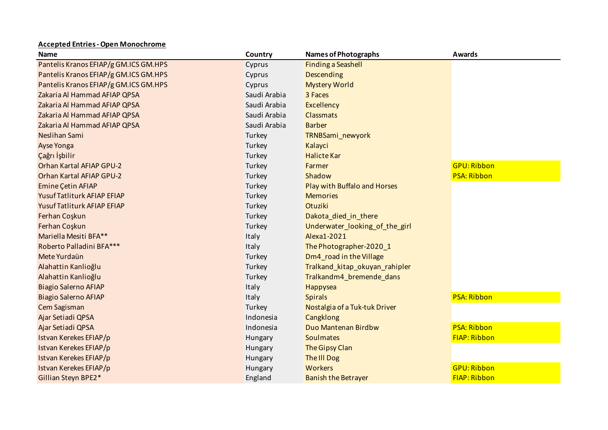## **Accepted Entries - Open Monochrome**

| <b>Name</b>                           | Country      | <b>Names of Photographs</b>    | <b>Awards</b>       |
|---------------------------------------|--------------|--------------------------------|---------------------|
| Pantelis Kranos EFIAP/g GM.ICS GM.HPS | Cyprus       | <b>Finding a Seashell</b>      |                     |
| Pantelis Kranos EFIAP/g GM.ICS GM.HPS | Cyprus       | Descending                     |                     |
| Pantelis Kranos EFIAP/g GM.ICS GM.HPS | Cyprus       | <b>Mystery World</b>           |                     |
| Zakaria Al Hammad AFIAP QPSA          | Saudi Arabia | 3 Faces                        |                     |
| Zakaria Al Hammad AFIAP QPSA          | Saudi Arabia | <b>Excellency</b>              |                     |
| Zakaria Al Hammad AFIAP QPSA          | Saudi Arabia | <b>Classmats</b>               |                     |
| Zakaria Al Hammad AFIAP QPSA          | Saudi Arabia | <b>Barber</b>                  |                     |
| Neslihan Sami                         | Turkey       | TRNBSami_newyork               |                     |
| Ayse Yonga                            | Turkey       | Kalayci                        |                     |
| Çağrı İşbilir                         | Turkey       | <b>Halicte Kar</b>             |                     |
| Orhan Kartal AFIAP GPU-2              | Turkey       | Farmer                         | <b>GPU: Ribbon</b>  |
| Orhan Kartal AFIAP GPU-2              | Turkey       | Shadow                         | <b>PSA: Ribbon</b>  |
| Emine Çetin AFIAP                     | Turkey       | Play with Buffalo and Horses   |                     |
| Yusuf Tatliturk AFIAP EFIAP           | Turkey       | <b>Memories</b>                |                     |
| Yusuf Tatliturk AFIAP EFIAP           | Turkey       | Otuziki                        |                     |
| Ferhan Coşkun                         | Turkey       | Dakota_died_in_there           |                     |
| Ferhan Coşkun                         | Turkey       | Underwater_looking_of_the_girl |                     |
| Mariella Mesiti BFA**                 | Italy        | Alexa1-2021                    |                     |
| Roberto Palladini BFA***              | Italy        | The Photographer-2020_1        |                     |
| Mete Yurdaün                          | Turkey       | Dm4_road in the Village        |                     |
| Alahattin Kanlioğlu                   | Turkey       | Tralkand_kitap_okuyan_rahipler |                     |
| Alahattin Kanlioğlu                   | Turkey       | Tralkandm4_bremende_dans       |                     |
| <b>Biagio Salerno AFIAP</b>           | Italy        | Happysea                       |                     |
| <b>Biagio Salerno AFIAP</b>           | Italy        | <b>Spirals</b>                 | <b>PSA: Ribbon</b>  |
| Cem Sagisman                          | Turkey       | Nostalgia of a Tuk-tuk Driver  |                     |
| Ajar Setiadi QPSA                     | Indonesia    | Cangklong                      |                     |
| Ajar Setiadi QPSA                     | Indonesia    | Duo Mantenan Birdbw            | <b>PSA: Ribbon</b>  |
| Istvan Kerekes EFIAP/p                | Hungary      | <b>Soulmates</b>               | <b>FIAP: Ribbon</b> |
| Istvan Kerekes EFIAP/p                | Hungary      | The Gipsy Clan                 |                     |
| Istvan Kerekes EFIAP/p                | Hungary      | <b>The III Dog</b>             |                     |
| Istvan Kerekes EFIAP/p                | Hungary      | Workers                        | <b>GPU: Ribbon</b>  |
| Gillian Steyn BPE2*                   | England      | <b>Banish the Betrayer</b>     | <b>FIAP: Ribbon</b> |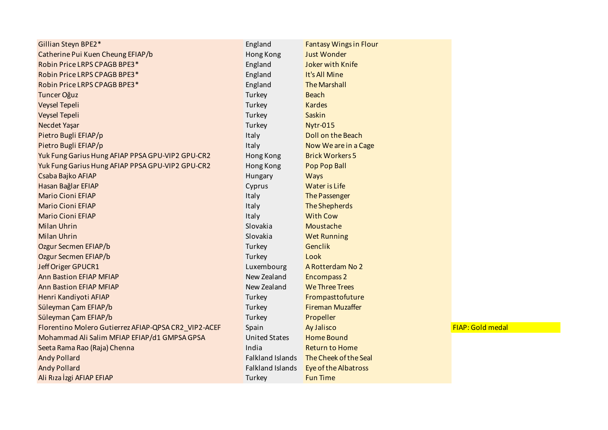| Gillian Steyn BPE2*                                  | England                 | <b>Fantasy Wings in Flour</b> |
|------------------------------------------------------|-------------------------|-------------------------------|
| Catherine Pui Kuen Cheung EFIAP/b                    | Hong Kong               | <b>Just Wonder</b>            |
| Robin Price LRPS CPAGB BPE3*                         | England                 | <b>Joker with Knife</b>       |
| Robin Price LRPS CPAGB BPE3*                         | England                 | It's All Mine                 |
| Robin Price LRPS CPAGB BPE3*                         | England                 | <b>The Marshall</b>           |
| <b>Tuncer Oğuz</b>                                   | Turkey                  | <b>Beach</b>                  |
| Veysel Tepeli                                        | Turkey                  | <b>Kardes</b>                 |
| <b>Veysel Tepeli</b>                                 | Turkey                  | Saskin                        |
| Necdet Yaşar                                         | Turkey                  | <b>Nytr-015</b>               |
| Pietro Bugli EFIAP/p                                 | Italy                   | Doll on the Beach             |
| Pietro Bugli EFIAP/p                                 | Italy                   | Now We are in a Cage          |
| Yuk Fung Garius Hung AFIAP PPSA GPU-VIP2 GPU-CR2     | Hong Kong               | <b>Brick Workers 5</b>        |
| Yuk Fung Garius Hung AFIAP PPSA GPU-VIP2 GPU-CR2     | Hong Kong               | Pop Pop Ball                  |
| Csaba Bajko AFIAP                                    | Hungary                 | <b>Ways</b>                   |
| Hasan Bağlar EFIAP                                   | Cyprus                  | <b>Water is Life</b>          |
| <b>Mario Cioni EFIAP</b>                             | Italy                   | The Passenger                 |
| <b>Mario Cioni EFIAP</b>                             | Italy                   | <b>The Shepherds</b>          |
| <b>Mario Cioni EFIAP</b>                             | Italy                   | <b>With Cow</b>               |
| <b>Milan Uhrin</b>                                   | Slovakia                | Moustache                     |
| <b>Milan Uhrin</b>                                   | Slovakia                | <b>Wet Running</b>            |
| Ozgur Secmen EFIAP/b                                 | Turkey                  | Genclik                       |
| Ozgur Secmen EFIAP/b                                 | Turkey                  | Look                          |
| Jeff Origer GPUCR1                                   | Luxembourg              | A Rotterdam No 2              |
| <b>Ann Bastion EFIAP MFIAP</b>                       | New Zealand             | <b>Encompass 2</b>            |
| <b>Ann Bastion EFIAP MFIAP</b>                       | New Zealand             | <b>We Three Trees</b>         |
| Henri Kandiyoti AFIAP                                | Turkey                  | Frompasttofuture              |
| Süleyman Çam EFIAP/b                                 | Turkey                  | <b>Fireman Muzaffer</b>       |
| Süleyman Çam EFIAP/b                                 | Turkey                  | Propeller                     |
| Florentino Molero Gutierrez AFIAP-QPSA CR2_VIP2-ACEF | Spain                   | Ay Jalisco                    |
| Mohammad Ali Salim MFIAP EFIAP/d1 GMPSA GPSA         | <b>United States</b>    | <b>Home Bound</b>             |
| Seeta Rama Rao (Raja) Chenna                         | India                   | <b>Return to Home</b>         |
| <b>Andy Pollard</b>                                  | <b>Falkland Islands</b> | The Cheek of the Seal         |
| <b>Andy Pollard</b>                                  | Falkland Islands        | <b>Eye of the Albatross</b>   |
| Ali Rıza İzgi AFIAP EFIAP                            | Turkey                  | <b>Fun Time</b>               |

FIAP: Gold medal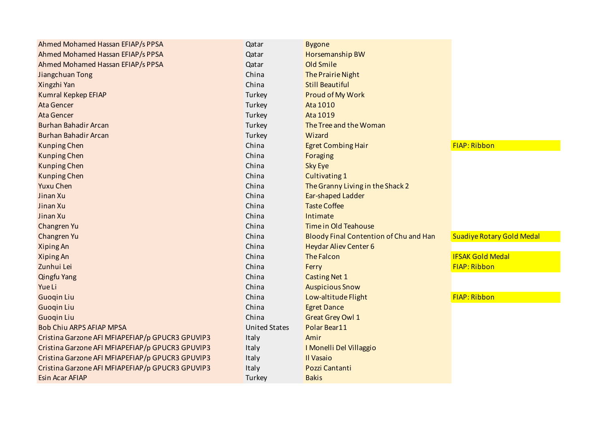| Ahmed Mohamed Hassan EFIAP/s PPSA                | Qatar                | <b>Bygone</b>                          |                                  |
|--------------------------------------------------|----------------------|----------------------------------------|----------------------------------|
| Ahmed Mohamed Hassan EFIAP/s PPSA                | Qatar                | Horsemanship BW                        |                                  |
| Ahmed Mohamed Hassan EFIAP/s PPSA                | Qatar                | Old Smile                              |                                  |
| Jiangchuan Tong                                  | China                | <b>The Prairie Night</b>               |                                  |
| Xingzhi Yan                                      | China                | <b>Still Beautiful</b>                 |                                  |
| Kumral Kepkep EFIAP                              | Turkey               | Proud of My Work                       |                                  |
| <b>Ata Gencer</b>                                | Turkey               | Ata 1010                               |                                  |
| <b>Ata Gencer</b>                                | Turkey               | Ata 1019                               |                                  |
| <b>Burhan Bahadir Arcan</b>                      | Turkey               | The Tree and the Woman                 |                                  |
| <b>Burhan Bahadir Arcan</b>                      | Turkey               | Wizard                                 |                                  |
| <b>Kunping Chen</b>                              | China                | <b>Egret Combing Hair</b>              | <b>FIAP: Ribbon</b>              |
| <b>Kunping Chen</b>                              | China                | Foraging                               |                                  |
| <b>Kunping Chen</b>                              | China                | <b>Sky Eye</b>                         |                                  |
| <b>Kunping Chen</b>                              | China                | <b>Cultivating 1</b>                   |                                  |
| <b>Yuxu Chen</b>                                 | China                | The Granny Living in the Shack 2       |                                  |
| Jinan Xu                                         | China                | Ear-shaped Ladder                      |                                  |
| Jinan Xu                                         | China                | <b>Taste Coffee</b>                    |                                  |
| Jinan Xu                                         | China                | Intimate                               |                                  |
| Changren Yu                                      | China                | <b>Time in Old Teahouse</b>            |                                  |
| Changren Yu                                      | China                | Bloody Final Contention of Chu and Han | <b>Suadiye Rotary Gold Medal</b> |
| <b>Xiping An</b>                                 | China                | <b>Heydar Aliev Center 6</b>           |                                  |
| <b>Xiping An</b>                                 | China                | <b>The Falcon</b>                      | <b>IFSAK Gold Medal</b>          |
| Zunhui Lei                                       | China                | Ferry                                  | <b>FIAP: Ribbon</b>              |
| <b>Qingfu Yang</b>                               | China                | <b>Casting Net 1</b>                   |                                  |
| Yue Li                                           | China                | <b>Auspicious Snow</b>                 |                                  |
| <b>Guogin Liu</b>                                | China                | Low-altitude Flight                    | <b>FIAP: Ribbon</b>              |
| <b>Guoqin Liu</b>                                | China                | <b>Egret Dance</b>                     |                                  |
| <b>Guogin Liu</b>                                | China                | <b>Great Grey Owl 1</b>                |                                  |
| <b>Bob Chiu ARPS AFIAP MPSA</b>                  | <b>United States</b> | Polar Bear11                           |                                  |
| Cristina Garzone AFI MFIAPEFIAP/p GPUCR3 GPUVIP3 | Italy                | Amir                                   |                                  |
| Cristina Garzone AFI MFIAPEFIAP/p GPUCR3 GPUVIP3 | Italy                | I Monelli Del Villaggio                |                                  |
| Cristina Garzone AFI MFIAPEFIAP/p GPUCR3 GPUVIP3 | Italy                | Il Vasaio                              |                                  |
| Cristina Garzone AFI MFIAPEFIAP/p GPUCR3 GPUVIP3 | Italy                | Pozzi Cantanti                         |                                  |
| <b>Esin Acar AFIAP</b>                           | Turkey               | <b>Bakis</b>                           |                                  |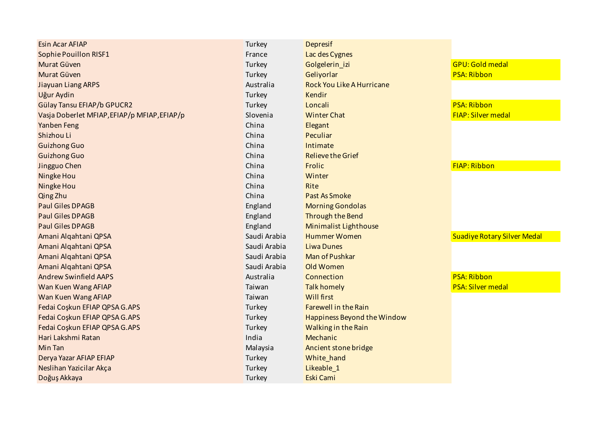| <b>Esin Acar AFIAP</b>                       | Turkey       | <b>Depresif</b>                    |                                    |
|----------------------------------------------|--------------|------------------------------------|------------------------------------|
| <b>Sophie Pouillon RISF1</b>                 | France       | Lac des Cygnes                     |                                    |
| Murat Güven                                  | Turkey       | Golgelerin_izi                     | <b>GPU: Gold medal</b>             |
| Murat Güven                                  | Turkey       | Geliyorlar                         | <b>PSA: Ribbon</b>                 |
| <b>Jiayuan Liang ARPS</b>                    | Australia    | <b>Rock You Like A Hurricane</b>   |                                    |
| Uğur Aydin                                   | Turkey       | Kendir                             |                                    |
| Gülay Tansu EFIAP/b GPUCR2                   | Turkey       | Loncali                            | <b>PSA: Ribbon</b>                 |
| Vasja Doberlet MFIAP, EFIAP/p MFIAP, EFIAP/p | Slovenia     | <b>Winter Chat</b>                 | <b>FIAP: Silver medal</b>          |
| Yanben Feng                                  | China        | Elegant                            |                                    |
| Shizhou Li                                   | China        | Peculiar                           |                                    |
| <b>Guizhong Guo</b>                          | China        | Intimate                           |                                    |
| <b>Guizhong Guo</b>                          | China        | <b>Relieve the Grief</b>           |                                    |
| Jingguo Chen                                 | China        | Frolic                             | FIAP: Ribbon                       |
| Ningke Hou                                   | China        | Winter                             |                                    |
| Ningke Hou                                   | China        | Rite                               |                                    |
| Qing Zhu                                     | China        | <b>Past As Smoke</b>               |                                    |
| <b>Paul Giles DPAGB</b>                      | England      | <b>Morning Gondolas</b>            |                                    |
| <b>Paul Giles DPAGB</b>                      | England      | Through the Bend                   |                                    |
| <b>Paul Giles DPAGB</b>                      | England      | <b>Minimalist Lighthouse</b>       |                                    |
| Amani Alqahtani QPSA                         | Saudi Arabia | <b>Hummer Women</b>                | <b>Suadiye Rotary Silver Medal</b> |
| Amani Alqahtani QPSA                         | Saudi Arabia | <b>Liwa Dunes</b>                  |                                    |
| Amani Alqahtani QPSA                         | Saudi Arabia | Man of Pushkar                     |                                    |
| Amani Alqahtani QPSA                         | Saudi Arabia | Old Women                          |                                    |
| <b>Andrew Swinfield AAPS</b>                 | Australia    | Connection                         | <b>PSA: Ribbon</b>                 |
| Wan Kuen Wang AFIAP                          | Taiwan       | <b>Talk homely</b>                 | <b>PSA: Silver medal</b>           |
| Wan Kuen Wang AFIAP                          | Taiwan       | <b>Will first</b>                  |                                    |
| Fedai Coşkun EFIAP QPSA G.APS                | Turkey       | <b>Farewell in the Rain</b>        |                                    |
| Fedai Coskun EFIAP QPSA G.APS                | Turkey       | <b>Happiness Beyond the Window</b> |                                    |
| Fedai Coskun EFIAP QPSA G.APS                | Turkey       | Walking in the Rain                |                                    |
| Hari Lakshmi Ratan                           | India        | Mechanic                           |                                    |
| Min Tan                                      | Malaysia     | Ancient stone bridge               |                                    |
| Derya Yazar AFIAP EFIAP                      | Turkey       | White_hand                         |                                    |
| Neslihan Yazicilar Akça                      | Turkey       | Likeable_1                         |                                    |
| Doğuş Akkaya                                 | Turkey       | <b>Eski Cami</b>                   |                                    |
|                                              |              |                                    |                                    |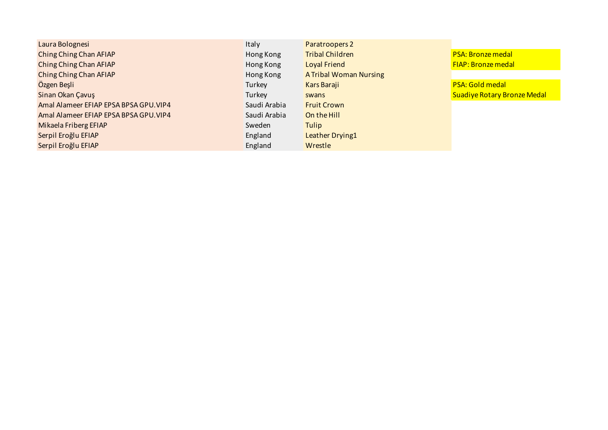| Laura Bolognesi                        | <b>Italy</b> | Paratroopers 2                |                                    |
|----------------------------------------|--------------|-------------------------------|------------------------------------|
| Ching Ching Chan AFIAP                 | Hong Kong    | <b>Tribal Children</b>        | <b>PSA: Bronze medal</b>           |
| Ching Ching Chan AFIAP                 | Hong Kong    | <b>Loyal Friend</b>           | <b>FIAP: Bronze medal</b>          |
| Ching Ching Chan AFIAP                 | Hong Kong    | <b>A Tribal Woman Nursing</b> |                                    |
| Özgen Beşli                            | Turkey       | Kars Baraji                   | <b>PSA: Gold medal</b>             |
| Sinan Okan Çavuş                       | Turkey       | swans                         | <b>Suadiye Rotary Bronze Medal</b> |
| Amal Alameer EFIAP EPSA BPSA GPU. VIP4 | Saudi Arabia | <b>Fruit Crown</b>            |                                    |
| Amal Alameer EFIAP EPSA BPSA GPU. VIP4 | Saudi Arabia | On the Hill                   |                                    |
| Mikaela Friberg EFIAP                  | Sweden       | Tulip                         |                                    |
| Serpil Eroğlu EFIAP                    | England      | Leather Drying1               |                                    |
| Serpil Eroğlu EFIAP                    | England      | Wrestle                       |                                    |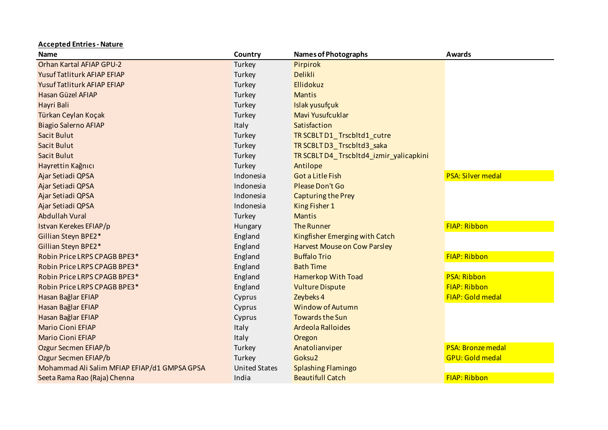| <b>Name</b>                                  | Country              | <b>Names of Photographs</b>             | <b>Awards</b>            |
|----------------------------------------------|----------------------|-----------------------------------------|--------------------------|
| <b>Orhan Kartal AFIAP GPU-2</b>              | Turkey               | Pirpirok                                |                          |
| Yusuf Tatliturk AFIAP EFIAP                  | Turkey               | <b>Delikli</b>                          |                          |
| Yusuf Tatliturk AFIAP EFIAP                  | Turkey               | Ellidokuz                               |                          |
| Hasan Güzel AFIAP                            | Turkey               | <b>Mantis</b>                           |                          |
| Hayri Bali                                   | Turkey               | Islak yusufçuk                          |                          |
| Türkan Ceylan Koçak                          | Turkey               | Mavi Yusufcuklar                        |                          |
| <b>Biagio Salerno AFIAP</b>                  | Italy                | Satisfaction                            |                          |
| Sacit Bulut                                  | Turkey               | TR SCBLT D1_Trscbltd1_cutre             |                          |
| <b>Sacit Bulut</b>                           | Turkey               | TR SCBLT D3_Trscbltd3_saka              |                          |
| Sacit Bulut                                  | Turkey               | TR SCBLT D4_Trscbltd4_izmir_yalicapkini |                          |
| Hayrettin Kağnıcı                            | Turkey               | Antilope                                |                          |
| Ajar Setiadi QPSA                            | Indonesia            | <b>Got a Litle Fish</b>                 | <b>PSA: Silver medal</b> |
| Ajar Setiadi QPSA                            | Indonesia            | Please Don't Go                         |                          |
| Ajar Setiadi QPSA                            | Indonesia            | <b>Capturing the Prey</b>               |                          |
| Ajar Setiadi QPSA                            | Indonesia            | King Fisher 1                           |                          |
| <b>Abdullah Vural</b>                        | Turkey               | <b>Mantis</b>                           |                          |
| Istvan Kerekes EFIAP/p                       | Hungary              | <b>The Runner</b>                       | <b>FIAP: Ribbon</b>      |
| Gillian Steyn BPE2*                          | England              | Kingfisher Emerging with Catch          |                          |
| Gillian Steyn BPE2*                          | England              | <b>Harvest Mouse on Cow Parsley</b>     |                          |
| Robin Price LRPS CPAGB BPE3*                 | England              | <b>Buffalo Trio</b>                     | FIAP: Ribbon             |
| Robin Price LRPS CPAGB BPE3*                 | England              | <b>Bath Time</b>                        |                          |
| Robin Price LRPS CPAGB BPE3*                 | England              | <b>Hamerkop With Toad</b>               | <b>PSA: Ribbon</b>       |
| Robin Price LRPS CPAGB BPE3*                 | England              | <b>Vulture Dispute</b>                  | <b>FIAP: Ribbon</b>      |
| Hasan Bağlar EFIAP                           | Cyprus               | Zeybeks 4                               | FIAP: Gold medal         |
| Hasan Bağlar EFIAP                           | Cyprus               | <b>Window of Autumn</b>                 |                          |
| Hasan Bağlar EFIAP                           | Cyprus               | <b>Towards the Sun</b>                  |                          |
| <b>Mario Cioni EFIAP</b>                     | Italy                | Ardeola Ralloides                       |                          |
| <b>Mario Cioni EFIAP</b>                     | Italy                | Oregon                                  |                          |
| Ozgur Secmen EFIAP/b                         | Turkey               | Anatolianviper                          | <b>PSA: Bronze medal</b> |
| Ozgur Secmen EFIAP/b                         | Turkey               | Goksu <sub>2</sub>                      | <b>GPU: Gold medal</b>   |
| Mohammad Ali Salim MFIAP EFIAP/d1 GMPSA GPSA | <b>United States</b> | <b>Splashing Flamingo</b>               |                          |
| Seeta Rama Rao (Raja) Chenna                 | India                | <b>Beautifull Catch</b>                 | <b>FIAP: Ribbon</b>      |

**Accepted Entries - Nature**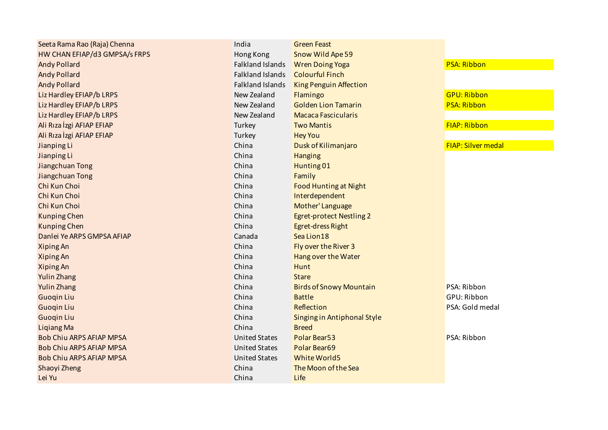| Seeta Rama Rao (Raja) Chenna    | India                   | <b>Green Feast</b>              |                           |
|---------------------------------|-------------------------|---------------------------------|---------------------------|
| HW CHAN EFIAP/d3 GMPSA/s FRPS   | Hong Kong               | Snow Wild Ape 59                |                           |
| <b>Andy Pollard</b>             | <b>Falkland Islands</b> | <b>Wren Doing Yoga</b>          | <b>PSA: Ribbon</b>        |
| <b>Andy Pollard</b>             | <b>Falkland Islands</b> | <b>Colourful Finch</b>          |                           |
| <b>Andy Pollard</b>             | <b>Falkland Islands</b> | King Penguin Affection          |                           |
| Liz Hardley EFIAP/b LRPS        | New Zealand             | Flamingo                        | <b>GPU: Ribbon</b>        |
| Liz Hardley EFIAP/b LRPS        | New Zealand             | <b>Golden Lion Tamarin</b>      | <b>PSA: Ribbon</b>        |
| Liz Hardley EFIAP/b LRPS        | New Zealand             | <b>Macaca Fascicularis</b>      |                           |
| Ali Rıza İzgi AFIAP EFIAP       | Turkey                  | <b>Two Mantis</b>               | <b>FIAP: Ribbon</b>       |
| Ali Rıza İzgi AFIAP EFIAP       | Turkey                  | <b>Hey You</b>                  |                           |
| Jianping Li                     | China                   | Dusk of Kilimanjaro             | <b>FIAP: Silver medal</b> |
| Jianping Li                     | China                   | <b>Hanging</b>                  |                           |
| Jiangchuan Tong                 | China                   | Hunting 01                      |                           |
| Jiangchuan Tong                 | China                   | Family                          |                           |
| Chi Kun Choi                    | China                   | <b>Food Hunting at Night</b>    |                           |
| Chi Kun Choi                    | China                   | Interdependent                  |                           |
| Chi Kun Choi                    | China                   | Mother' Language                |                           |
| <b>Kunping Chen</b>             | China                   | <b>Egret-protect Nestling 2</b> |                           |
| <b>Kunping Chen</b>             | China                   | Egret-dress Right               |                           |
| Danlei Ye ARPS GMPSA AFIAP      | Canada                  | Sea Lion18                      |                           |
| <b>Xiping An</b>                | China                   | Fly over the River 3            |                           |
| <b>Xiping An</b>                | China                   | Hang over the Water             |                           |
| <b>Xiping An</b>                | China                   | <b>Hunt</b>                     |                           |
| <b>Yulin Zhang</b>              | China                   | <b>Stare</b>                    |                           |
| <b>Yulin Zhang</b>              | China                   | <b>Birds of Snowy Mountain</b>  | PSA: Ribbon               |
| <b>Guogin Liu</b>               | China                   | <b>Battle</b>                   | GPU: Ribbon               |
| <b>Guogin Liu</b>               | China                   | Reflection                      | PSA: Gold medal           |
| <b>Guogin Liu</b>               | China                   | Singing in Antiphonal Style     |                           |
| <b>Ligiang Ma</b>               | China                   | <b>Breed</b>                    |                           |
| <b>Bob Chiu ARPS AFIAP MPSA</b> | <b>United States</b>    | Polar Bear53                    | PSA: Ribbon               |
| <b>Bob Chiu ARPS AFIAP MPSA</b> | <b>United States</b>    | Polar Bear69                    |                           |
| <b>Bob Chiu ARPS AFIAP MPSA</b> | <b>United States</b>    | White World5                    |                           |
| Shaoyi Zheng                    | China                   | The Moon of the Sea             |                           |
| Lei Yu                          | China                   | Life                            |                           |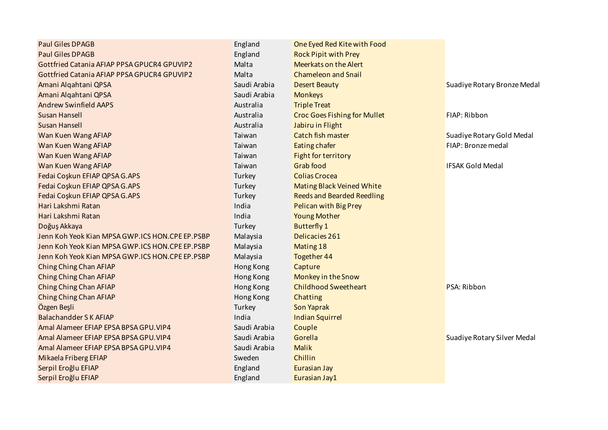| <b>Paul Giles DPAGB</b>                         | England      | One Eyed Red Kite with Food         |                             |
|-------------------------------------------------|--------------|-------------------------------------|-----------------------------|
| <b>Paul Giles DPAGB</b>                         | England      | <b>Rock Pipit with Prey</b>         |                             |
| Gottfried Catania AFIAP PPSA GPUCR4 GPUVIP2     | Malta        | <b>Meerkats on the Alert</b>        |                             |
| Gottfried Catania AFIAP PPSA GPUCR4 GPUVIP2     | Malta        | <b>Chameleon and Snail</b>          |                             |
| Amani Alqahtani QPSA                            | Saudi Arabia | <b>Desert Beauty</b>                | Suadiye Rotary Bronze Medal |
| Amani Alqahtani QPSA                            | Saudi Arabia | <b>Monkeys</b>                      |                             |
| <b>Andrew Swinfield AAPS</b>                    | Australia    | <b>Triple Treat</b>                 |                             |
| Susan Hansell                                   | Australia    | <b>Croc Goes Fishing for Mullet</b> | FIAP: Ribbon                |
| <b>Susan Hansell</b>                            | Australia    | Jabiru in Flight                    |                             |
| Wan Kuen Wang AFIAP                             | Taiwan       | Catch fish master                   | Suadiye Rotary Gold Medal   |
| Wan Kuen Wang AFIAP                             | Taiwan       | Eating chafer                       | FIAP: Bronze medal          |
| Wan Kuen Wang AFIAP                             | Taiwan       | Fight for territory                 |                             |
| Wan Kuen Wang AFIAP                             | Taiwan       | <b>Grab food</b>                    | <b>IFSAK Gold Medal</b>     |
| Fedai Coşkun EFIAP QPSA G.APS                   | Turkey       | <b>Colias Crocea</b>                |                             |
| Fedai Coskun EFIAP QPSA G.APS                   | Turkey       | Mating Black Veined White           |                             |
| Fedai Coşkun EFIAP QPSA G.APS                   | Turkey       | <b>Reeds and Bearded Reedling</b>   |                             |
| Hari Lakshmi Ratan                              | India        | Pelican with Big Prey               |                             |
| Hari Lakshmi Ratan                              | India        | <b>Young Mother</b>                 |                             |
| Doğuş Akkaya                                    | Turkey       | <b>Butterfly 1</b>                  |                             |
| Jenn Koh Yeok Kian MPSA GWP.ICS HON.CPE EP.PSBP | Malaysia     | Delicacies 261                      |                             |
| Jenn Koh Yeok Kian MPSA GWP.ICS HON.CPE EP.PSBP | Malaysia     | Mating 18                           |                             |
| Jenn Koh Yeok Kian MPSA GWP.ICS HON.CPE EP.PSBP | Malaysia     | <b>Together 44</b>                  |                             |
| Ching Ching Chan AFIAP                          | Hong Kong    | Capture                             |                             |
| Ching Ching Chan AFIAP                          | Hong Kong    | Monkey in the Snow                  |                             |
| Ching Ching Chan AFIAP                          | Hong Kong    | <b>Childhood Sweetheart</b>         | PSA: Ribbon                 |
| Ching Ching Chan AFIAP                          | Hong Kong    | Chatting                            |                             |
| Özgen Beşli                                     | Turkey       | Son Yaprak                          |                             |
| <b>Balachandder S K AFIAP</b>                   | India        | <b>Indian Squirrel</b>              |                             |
| Amal Alameer EFIAP EPSA BPSA GPU. VIP4          | Saudi Arabia | Couple                              |                             |
| Amal Alameer EFIAP EPSA BPSA GPU. VIP4          | Saudi Arabia | Gorella                             | Suadiye Rotary Silver Medal |
| Amal Alameer EFIAP EPSA BPSA GPU. VIP4          | Saudi Arabia | <b>Malik</b>                        |                             |
| Mikaela Friberg EFIAP                           | Sweden       | Chillin                             |                             |
| Serpil Eroğlu EFIAP                             | England      | Eurasian Jay                        |                             |
| Serpil Eroğlu EFIAP                             | England      | Eurasian Jay1                       |                             |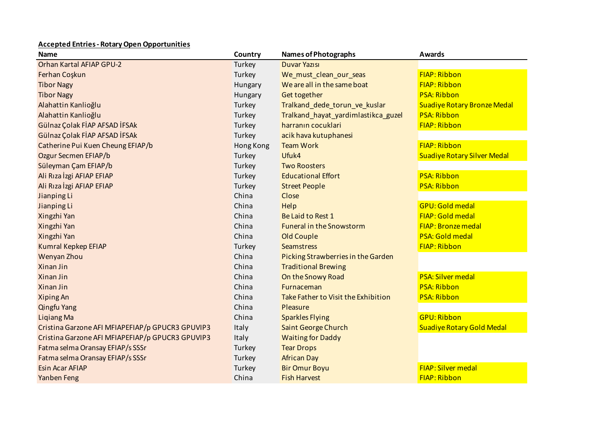## **Accepted Entries - Rotary Open Opportunities**

| <b>Name</b>                                      | Country   | <b>Names of Photographs</b>         | <b>Awards</b>                      |
|--------------------------------------------------|-----------|-------------------------------------|------------------------------------|
| Orhan Kartal AFIAP GPU-2                         | Turkey    | <b>Duvar Yazısı</b>                 |                                    |
| Ferhan Coşkun                                    | Turkey    | We must clean our seas              | <b>FIAP: Ribbon</b>                |
| <b>Tibor Nagy</b>                                | Hungary   | We are all in the same boat         | <b>FIAP: Ribbon</b>                |
| <b>Tibor Nagy</b>                                | Hungary   | Get together                        | <b>PSA: Ribbon</b>                 |
| Alahattin Kanlioğlu                              | Turkey    | Tralkand_dede_torun_ve_kuslar       | <b>Suadiye Rotary Bronze Medal</b> |
| Alahattin Kanlioğlu                              | Turkey    | Tralkand_hayat_yardimlastikca_guzel | <b>PSA: Ribbon</b>                 |
| Gülnaz Çolak FİAP AFSAD İFSAk                    | Turkey    | harranın cocuklari                  | <b>FIAP: Ribbon</b>                |
| Gülnaz Çolak FİAP AFSAD İFSAk                    | Turkey    | acik hava kutuphanesi               |                                    |
| Catherine Pui Kuen Cheung EFIAP/b                | Hong Kong | <b>Team Work</b>                    | <b>FIAP: Ribbon</b>                |
| Ozgur Secmen EFIAP/b                             | Turkey    | Ufuk4                               | <b>Suadiye Rotary Silver Medal</b> |
| Süleyman Çam EFIAP/b                             | Turkey    | <b>Two Roosters</b>                 |                                    |
| Ali Rıza İzgi AFIAP EFIAP                        | Turkey    | <b>Educational Effort</b>           | <b>PSA: Ribbon</b>                 |
| Ali Rıza İzgi AFIAP EFIAP                        | Turkey    | <b>Street People</b>                | <b>PSA: Ribbon</b>                 |
| Jianping Li                                      | China     | Close                               |                                    |
| Jianping Li                                      | China     | Help                                | <b>GPU: Gold medal</b>             |
| Xingzhi Yan                                      | China     | Be Laid to Rest 1                   | <b>FIAP: Gold medal</b>            |
| Xingzhi Yan                                      | China     | <b>Funeral in the Snowstorm</b>     | <b>FIAP: Bronze medal</b>          |
| Xingzhi Yan                                      | China     | Old Couple                          | PSA: Gold medal                    |
| Kumral Kepkep EFIAP                              | Turkey    | <b>Seamstress</b>                   | <b>FIAP: Ribbon</b>                |
| Wenyan Zhou                                      | China     | Picking Strawberries in the Garden  |                                    |
| Xinan Jin                                        | China     | <b>Traditional Brewing</b>          |                                    |
| Xinan Jin                                        | China     | On the Snowy Road                   | <b>PSA: Silver medal</b>           |
| Xinan Jin                                        | China     | Furnaceman                          | <b>PSA: Ribbon</b>                 |
| Xiping An                                        | China     | Take Father to Visit the Exhibition | <b>PSA: Ribbon</b>                 |
| <b>Qingfu Yang</b>                               | China     | Pleasure                            |                                    |
| <b>Ligiang Ma</b>                                | China     | <b>Sparkles Flying</b>              | <b>GPU: Ribbon</b>                 |
| Cristina Garzone AFI MFIAPEFIAP/p GPUCR3 GPUVIP3 | Italy     | Saint George Church                 | <b>Suadiye Rotary Gold Medal</b>   |
| Cristina Garzone AFI MFIAPEFIAP/p GPUCR3 GPUVIP3 | Italy     | <b>Waiting for Daddy</b>            |                                    |
| Fatma selma Oransay EFIAP/s SSSr                 | Turkey    | <b>Tear Drops</b>                   |                                    |
| Fatma selma Oransay EFIAP/s SSSr                 | Turkey    | <b>African Day</b>                  |                                    |
| <b>Esin Acar AFIAP</b>                           | Turkey    | <b>Bir Omur Boyu</b>                | <b>FIAP: Silver medal</b>          |
| Yanben Feng                                      | China     | <b>Fish Harvest</b>                 | <b>FIAP: Ribbon</b>                |